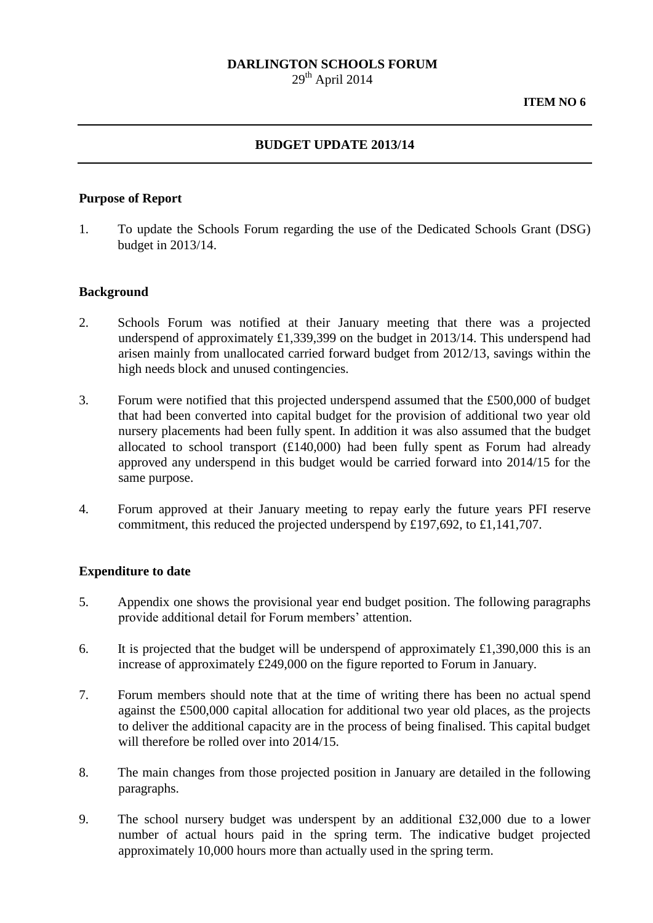### **DARLINGTON SCHOOLS FORUM**

 $29<sup>th</sup>$  April 2014

### **BUDGET UPDATE 2013/14**

### **Purpose of Report**

1. To update the Schools Forum regarding the use of the Dedicated Schools Grant (DSG) budget in 2013/14.

#### **Background**

- 2. Schools Forum was notified at their January meeting that there was a projected underspend of approximately £1,339,399 on the budget in 2013/14. This underspend had arisen mainly from unallocated carried forward budget from 2012/13, savings within the high needs block and unused contingencies.
- 3. Forum were notified that this projected underspend assumed that the £500,000 of budget that had been converted into capital budget for the provision of additional two year old nursery placements had been fully spent. In addition it was also assumed that the budget allocated to school transport (£140,000) had been fully spent as Forum had already approved any underspend in this budget would be carried forward into 2014/15 for the same purpose.
- 4. Forum approved at their January meeting to repay early the future years PFI reserve commitment, this reduced the projected underspend by £197,692, to £1,141,707.

#### **Expenditure to date**

- 5. Appendix one shows the provisional year end budget position. The following paragraphs provide additional detail for Forum members' attention.
- 6. It is projected that the budget will be underspend of approximately £1,390,000 this is an increase of approximately £249,000 on the figure reported to Forum in January.
- 7. Forum members should note that at the time of writing there has been no actual spend against the £500,000 capital allocation for additional two year old places, as the projects to deliver the additional capacity are in the process of being finalised. This capital budget will therefore be rolled over into 2014/15.
- 8. The main changes from those projected position in January are detailed in the following paragraphs.
- 9. The school nursery budget was underspent by an additional £32,000 due to a lower number of actual hours paid in the spring term. The indicative budget projected approximately 10,000 hours more than actually used in the spring term.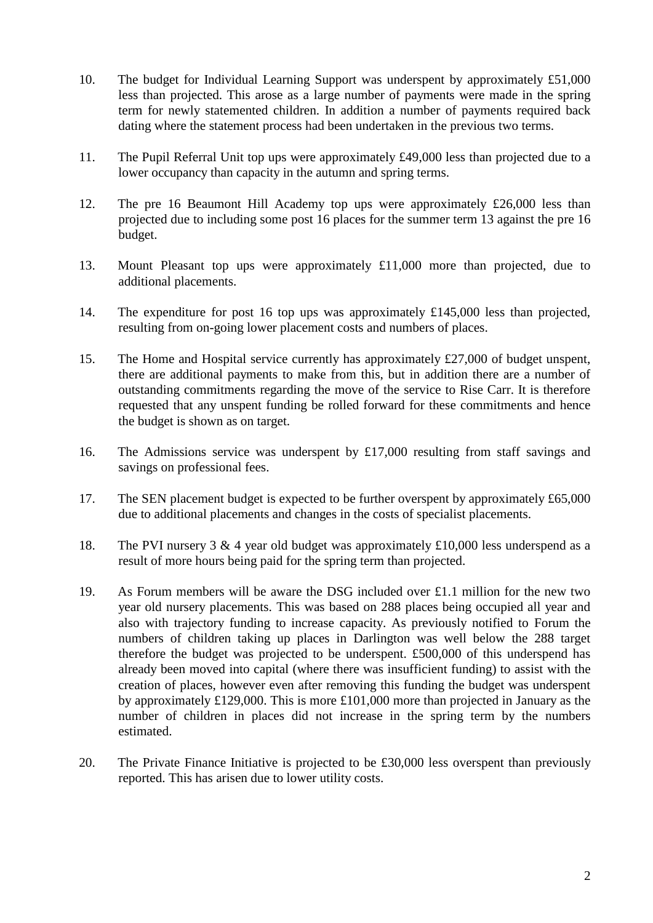- 10. The budget for Individual Learning Support was underspent by approximately £51,000 less than projected. This arose as a large number of payments were made in the spring term for newly statemented children. In addition a number of payments required back dating where the statement process had been undertaken in the previous two terms.
- 11. The Pupil Referral Unit top ups were approximately £49,000 less than projected due to a lower occupancy than capacity in the autumn and spring terms.
- 12. The pre 16 Beaumont Hill Academy top ups were approximately £26,000 less than projected due to including some post 16 places for the summer term 13 against the pre 16 budget.
- 13. Mount Pleasant top ups were approximately £11,000 more than projected, due to additional placements.
- 14. The expenditure for post 16 top ups was approximately £145,000 less than projected, resulting from on-going lower placement costs and numbers of places.
- 15. The Home and Hospital service currently has approximately £27,000 of budget unspent, there are additional payments to make from this, but in addition there are a number of outstanding commitments regarding the move of the service to Rise Carr. It is therefore requested that any unspent funding be rolled forward for these commitments and hence the budget is shown as on target.
- 16. The Admissions service was underspent by £17,000 resulting from staff savings and savings on professional fees.
- 17. The SEN placement budget is expected to be further overspent by approximately £65,000 due to additional placements and changes in the costs of specialist placements.
- 18. The PVI nursery 3 & 4 year old budget was approximately £10,000 less underspend as a result of more hours being paid for the spring term than projected.
- 19. As Forum members will be aware the DSG included over £1.1 million for the new two year old nursery placements. This was based on 288 places being occupied all year and also with trajectory funding to increase capacity. As previously notified to Forum the numbers of children taking up places in Darlington was well below the 288 target therefore the budget was projected to be underspent. £500,000 of this underspend has already been moved into capital (where there was insufficient funding) to assist with the creation of places, however even after removing this funding the budget was underspent by approximately £129,000. This is more £101,000 more than projected in January as the number of children in places did not increase in the spring term by the numbers estimated.
- 20. The Private Finance Initiative is projected to be £30,000 less overspent than previously reported. This has arisen due to lower utility costs.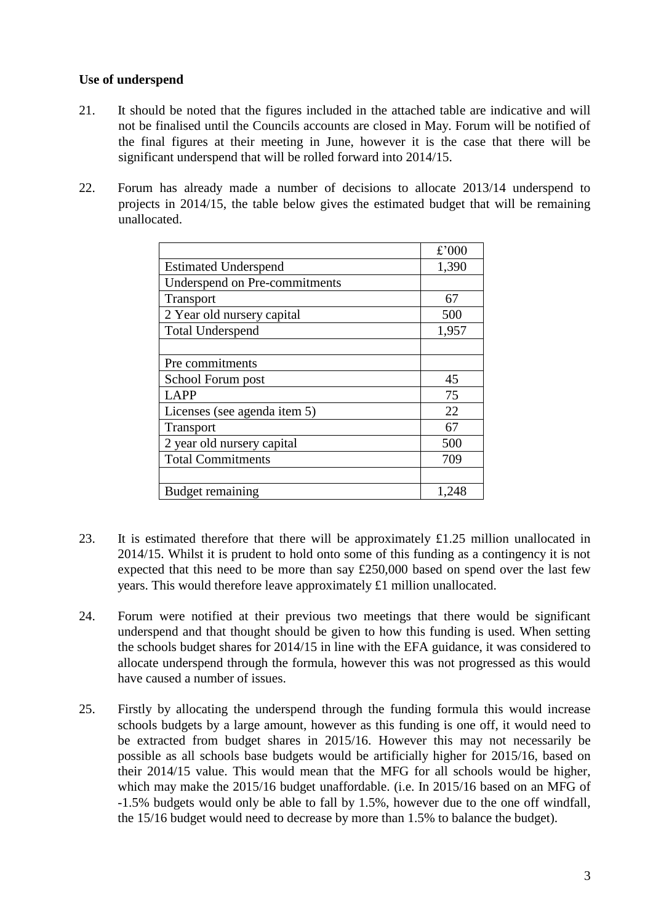# **Use of underspend**

- 21. It should be noted that the figures included in the attached table are indicative and will not be finalised until the Councils accounts are closed in May. Forum will be notified of the final figures at their meeting in June, however it is the case that there will be significant underspend that will be rolled forward into 2014/15.
- 22. Forum has already made a number of decisions to allocate 2013/14 underspend to projects in 2014/15, the table below gives the estimated budget that will be remaining unallocated.

|                               | £'000 |
|-------------------------------|-------|
| <b>Estimated Underspend</b>   | 1,390 |
| Underspend on Pre-commitments |       |
| <b>Transport</b>              | 67    |
| 2 Year old nursery capital    | 500   |
| <b>Total Underspend</b>       | 1,957 |
|                               |       |
| Pre commitments               |       |
| School Forum post             | 45    |
| LAPP                          | 75    |
| Licenses (see agenda item 5)  | 22    |
| <b>Transport</b>              | 67    |
| 2 year old nursery capital    | 500   |
| <b>Total Commitments</b>      | 709   |
|                               |       |
| <b>Budget remaining</b>       | 1,248 |

- 23. It is estimated therefore that there will be approximately £1.25 million unallocated in 2014/15. Whilst it is prudent to hold onto some of this funding as a contingency it is not expected that this need to be more than say £250,000 based on spend over the last few years. This would therefore leave approximately £1 million unallocated.
- 24. Forum were notified at their previous two meetings that there would be significant underspend and that thought should be given to how this funding is used. When setting the schools budget shares for 2014/15 in line with the EFA guidance, it was considered to allocate underspend through the formula, however this was not progressed as this would have caused a number of issues.
- 25. Firstly by allocating the underspend through the funding formula this would increase schools budgets by a large amount, however as this funding is one off, it would need to be extracted from budget shares in 2015/16. However this may not necessarily be possible as all schools base budgets would be artificially higher for 2015/16, based on their 2014/15 value. This would mean that the MFG for all schools would be higher, which may make the 2015/16 budget unaffordable. (i.e. In 2015/16 based on an MFG of -1.5% budgets would only be able to fall by 1.5%, however due to the one off windfall, the 15/16 budget would need to decrease by more than 1.5% to balance the budget).